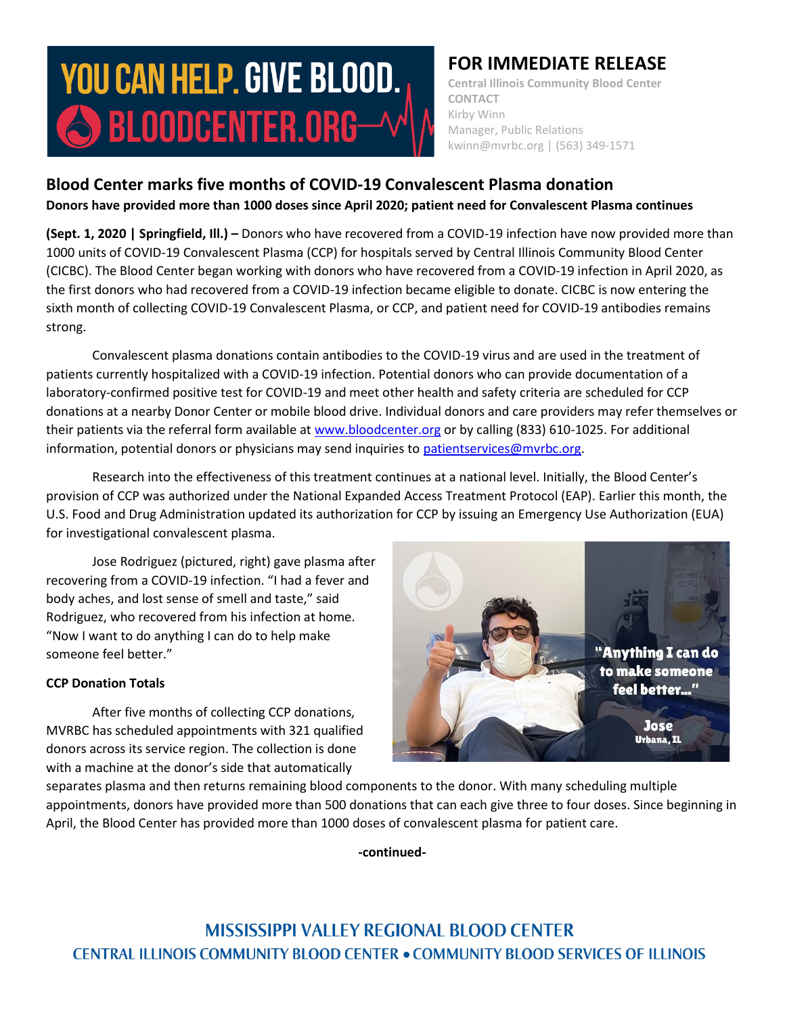# **YOU CAN HELP. GIVE BLOOD.** S BLOODCENTER.ORG-

# **FOR IMMEDIATE RELEASE**

**Central Illinois Community Blood Center CONTACT** Kirby Winn Manager, Public Relations kwinn@mvrbc.org | (563) 349-1571

## **Blood Center marks five months of COVID-19 Convalescent Plasma donation Donors have provided more than 1000 doses since April 2020; patient need for Convalescent Plasma continues**

**(Sept. 1, 2020 | Springfield, Ill.) –** Donors who have recovered from a COVID-19 infection have now provided more than 1000 units of COVID-19 Convalescent Plasma (CCP) for hospitals served by Central Illinois Community Blood Center (CICBC). The Blood Center began working with donors who have recovered from a COVID-19 infection in April 2020, as the first donors who had recovered from a COVID-19 infection became eligible to donate. CICBC is now entering the sixth month of collecting COVID-19 Convalescent Plasma, or CCP, and patient need for COVID-19 antibodies remains strong.

Convalescent plasma donations contain antibodies to the COVID-19 virus and are used in the treatment of patients currently hospitalized with a COVID-19 infection. Potential donors who can provide documentation of a laboratory-confirmed positive test for COVID-19 and meet other health and safety criteria are scheduled for CCP donations at a nearby Donor Center or mobile blood drive. Individual donors and care providers may refer themselves or their patients via the referral form available at [www.bloodcenter.org](http://www.bloodcenter.org/) or by calling (833) 610-1025. For additional information, potential donors or physicians may send inquiries to [patientservices@mvrbc.org.](mailto:patientservices@mvrbc.org)

Research into the effectiveness of this treatment continues at a national level. Initially, the Blood Center's provision of CCP was authorized under the National Expanded Access Treatment Protocol (EAP). Earlier this month, the U.S. Food and Drug Administration updated its authorization for CCP by issuing an Emergency Use Authorization (EUA) for investigational convalescent plasma.

Jose Rodriguez (pictured, right) gave plasma after recovering from a COVID-19 infection. "I had a fever and body aches, and lost sense of smell and taste," said Rodriguez, who recovered from his infection at home. "Now I want to do anything I can do to help make someone feel better."

### **CCP Donation Totals**

After five months of collecting CCP donations, MVRBC has scheduled appointments with 321 qualified donors across its service region. The collection is done with a machine at the donor's side that automatically



separates plasma and then returns remaining blood components to the donor. With many scheduling multiple appointments, donors have provided more than 500 donations that can each give three to four doses. Since beginning in April, the Blood Center has provided more than 1000 doses of convalescent plasma for patient care.

**-continued-**